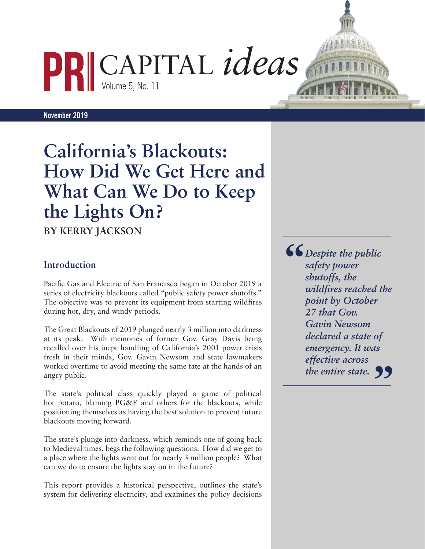CAPITAL *ideas*

**November 2019** 

# **California's Blackouts: How Did We Get Here and What Can We Do to Keep the Lights On?**

Volume 5, No. 11

**BY KERRY JACKSON**

## **Introduction**

Pacific Gas and Electric of San Francisco began in October 2019 a series of electricity blackouts called "public safety power shutoffs." The objective was to prevent its equipment from starting wildfires during hot, dry, and windy periods.

The Great Blackouts of 2019 plunged nearly 3 million into darkness at its peak. With memories of former Gov. Gray Davis being recalled over his inept handling of California's 2001 power crisis fresh in their minds, Gov. Gavin Newsom and state lawmakers worked overtime to avoid meeting the same fate at the hands of an angry public.

The state's political class quickly played a game of political hot potato, blaming PG&E and others for the blackouts, while positioning themselves as having the best solution to prevent future blackouts moving forward.

The state's plunge into darkness, which reminds one of going back to Medieval times, begs the following questions. How did we get to a place where the lights went out for nearly 3 million people? What can we do to ensure the lights stay on in the future?

This report provides a historical perspective, outlines the state's system for delivering electricity, and examines the policy decisions

*Despite the public safety power shutoffs, the wildfires reached the point by October 27 that Gov. Gavin Newsom declared a state of emergency. It was effective across*  the entire state. **99 "**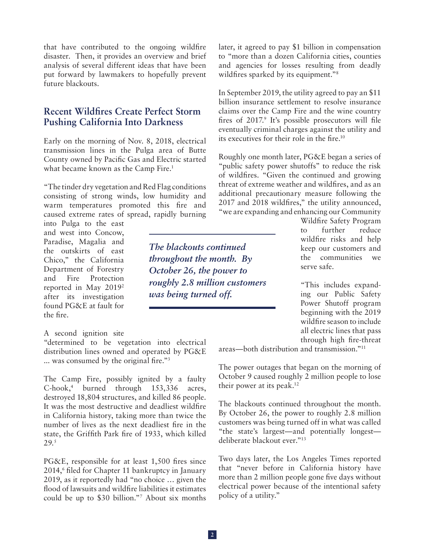that have contributed to the ongoing wildfire disaster. Then, it provides an overview and brief analysis of several different ideas that have been put forward by lawmakers to hopefully prevent future blackouts.

## **Recent Wildfires Create Perfect Storm Pushing California Into Darkness**

Early on the morning of Nov. 8, 2018, electrical transmission lines in the Pulga area of Butte County owned by Pacific Gas and Electric started what became known as the Camp Fire.<sup>1</sup>

"The tinder dry vegetation and Red Flag conditions consisting of strong winds, low humidity and warm temperatures promoted this fire and caused extreme rates of spread, rapidly burning

into Pulga to the east and west into Concow, Paradise, Magalia and the outskirts of east Chico," the California Department of Forestry and Fire Protection reported in May 20192 after its investigation found PG&E at fault for the fire.

#### A second ignition site

"determined to be vegetation into electrical distribution lines owned and operated by PG&E ... was consumed by the original fire."3

The Camp Fire, possibly ignited by a faulty C-hook,4 burned through 153,336 acres, destroyed 18,804 structures, and killed 86 people. It was the most destructive and deadliest wildfire in California history, taking more than twice the number of lives as the next deadliest fire in the state, the Griffith Park fire of 1933, which killed 29.5

PG&E, responsible for at least 1,500 fires since 2014,6 filed for Chapter 11 bankruptcy in January 2019, as it reportedly had "no choice … given the flood of lawsuits and wildfire liabilities it estimates could be up to \$30 billion."7 About six months later, it agreed to pay \$1 billion in compensation to "more than a dozen California cities, counties and agencies for losses resulting from deadly wildfires sparked by its equipment."<sup>8</sup>

In September 2019, the utility agreed to pay an \$11 billion insurance settlement to resolve insurance claims over the Camp Fire and the wine country fires of 2017.<sup>9</sup> It's possible prosecutors will file eventually criminal charges against the utility and its executives for their role in the fire.10

Roughly one month later, PG&E began a series of "public safety power shutoffs" to reduce the risk of wildfires. "Given the continued and growing threat of extreme weather and wildfires, and as an additional precautionary measure following the 2017 and 2018 wildfires," the utility announced, "we are expanding and enhancing our Community

> Wildfire Safety Program to further reduce wildfire risks and help keep our customers and the communities we serve safe.

"This includes expanding our Public Safety Power Shutoff program beginning with the 2019 wildfire season to include all electric lines that pass through high fire-threat

areas—both distribution and transmission."11

The power outages that began on the morning of October 9 caused roughly 2 million people to lose their power at its peak.<sup>12</sup>

The blackouts continued throughout the month. By October 26, the power to roughly 2.8 million customers was being turned off in what was called "the state's largest—and potentially longest deliberate blackout ever."13

Two days later, the Los Angeles Times reported that "never before in California history have more than 2 million people gone five days without electrical power because of the intentional safety policy of a utility."

*The blackouts continued throughout the month. By October 26, the power to roughly 2.8 million customers was being turned off.*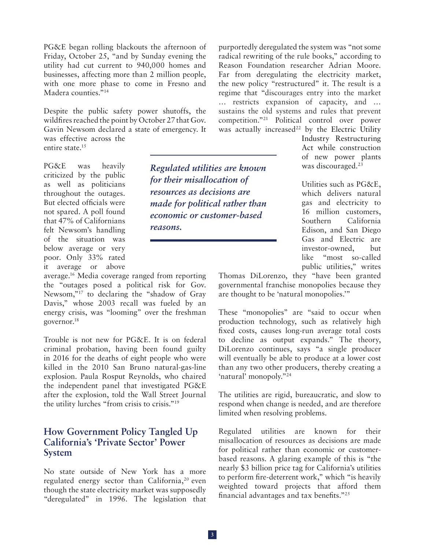PG&E began rolling blackouts the afternoon of Friday, October 25, "and by Sunday evening the utility had cut current to 940,000 homes and businesses, affecting more than 2 million people, with one more phase to come in Fresno and Madera counties."<sup>14</sup>

Despite the public safety power shutoffs, the wildfires reached the point by October 27 that Gov. Gavin Newsom declared a state of emergency. It was effective across the entire state.<sup>15</sup>

PG&E was heavily criticized by the public as well as politicians throughout the outages. But elected officials were not spared. A poll found that 47% of Californians felt Newsom's handling of the situation was below average or very poor. Only 33% rated it average or above

average.16 Media coverage ranged from reporting the "outages posed a political risk for Gov. Newsom,"17 to declaring the "shadow of Gray Davis," whose 2003 recall was fueled by an energy crisis, was "looming" over the freshman governor.18

Trouble is not new for PG&E. It is on federal criminal probation, having been found guilty in 2016 for the deaths of eight people who were killed in the 2010 San Bruno natural-gas-line explosion. Paula Rosput Reynolds, who chaired the independent panel that investigated PG&E after the explosion, told the Wall Street Journal the utility lurches "from crisis to crisis."19

## **How Government Policy Tangled Up California's 'Private Sector' Power System**

No state outside of New York has a more regulated energy sector than California,<sup>20</sup> even though the state electricity market was supposedly "deregulated" in 1996. The legislation that

purportedly deregulated the system was "not some radical rewriting of the rule books," according to Reason Foundation researcher Adrian Moore. Far from deregulating the electricity market, the new policy "restructured" it. The result is a regime that "discourages entry into the market … restricts expansion of capacity, and … sustains the old systems and rules that prevent competition."21 Political control over power was actually increased<sup>22</sup> by the Electric Utility

Industry Restructuring Act while construction of new power plants was discouraged.<sup>23</sup>

Utilities such as PG&E, which delivers natural gas and electricity to 16 million customers, Southern California Edison, and San Diego Gas and Electric are investor-owned, but like "most so-called public utilities," writes

Thomas DiLorenzo, they "have been granted governmental franchise monopolies because they are thought to be 'natural monopolies.'"

These "monopolies" are "said to occur when production technology, such as relatively high fixed costs, causes long-run average total costs to decline as output expands." The theory, DiLorenzo continues, says "a single producer will eventually be able to produce at a lower cost than any two other producers, thereby creating a 'natural' monopoly."24

The utilities are rigid, bureaucratic, and slow to respond when change is needed, and are therefore limited when resolving problems.

Regulated utilities are known for their misallocation of resources as decisions are made for political rather than economic or customerbased reasons. A glaring example of this is "the nearly \$3 billion price tag for California's utilities to perform fire-deterrent work," which "is heavily weighted toward projects that afford them financial advantages and tax benefits."25

*Regulated utilities are known* 

*made for political rather than economic or customer-based* 

*for their misallocation of resources as decisions are* 

*reasons.*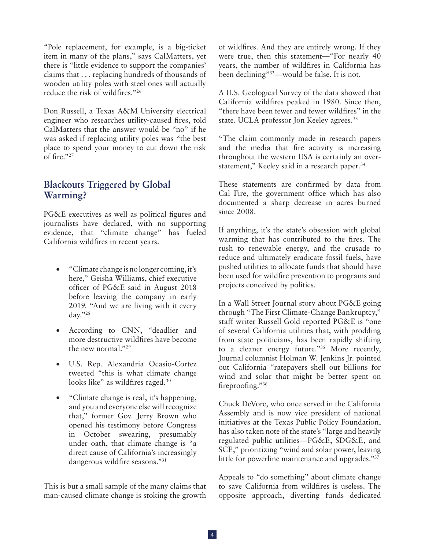"Pole replacement, for example, is a big-ticket item in many of the plans," says CalMatters, yet there is "little evidence to support the companies' claims that . . . replacing hundreds of thousands of wooden utility poles with steel ones will actually reduce the risk of wildfires."26

Don Russell, a Texas A&M University electrical engineer who researches utility-caused fires, told CalMatters that the answer would be "no" if he was asked if replacing utility poles was "the best place to spend your money to cut down the risk of fire."27

## **Blackouts Triggered by Global Warming?**

PG&E executives as well as political figures and journalists have declared, with no supporting evidence, that "climate change" has fueled California wildfires in recent years.

- • "Climate change is no longer coming, it's here," Geisha Williams, chief executive officer of PG&E said in August 2018 before leaving the company in early 2019. "And we are living with it every day."28
- • According to CNN, "deadlier and more destructive wildfires have become the new normal."29
- U.S. Rep. Alexandria Ocasio-Cortez tweeted "this is what climate change looks like" as wildfires raged.<sup>30</sup>
- "Climate change is real, it's happening, and you and everyone else will recognize that," former Gov. Jerry Brown who opened his testimony before Congress in October swearing, presumably under oath, that climate change is "a direct cause of California's increasingly dangerous wildfire seasons."31

This is but a small sample of the many claims that man-caused climate change is stoking the growth of wildfires. And they are entirely wrong. If they were true, then this statement—"For nearly 40 years, the number of wildfires in California has been declining"32—would be false. It is not.

A U.S. Geological Survey of the data showed that California wildfires peaked in 1980. Since then, "there have been fewer and fewer wildfires" in the state. UCLA professor Jon Keeley agrees.<sup>33</sup>

"The claim commonly made in research papers and the media that fire activity is increasing throughout the western USA is certainly an overstatement," Keeley said in a research paper.<sup>34</sup>

These statements are confirmed by data from Cal Fire, the government office which has also documented a sharp decrease in acres burned since 2008.

If anything, it's the state's obsession with global warming that has contributed to the fires. The rush to renewable energy, and the crusade to reduce and ultimately eradicate fossil fuels, have pushed utilities to allocate funds that should have been used for wildfire prevention to programs and projects conceived by politics.

In a Wall Street Journal story about PG&E going through "The First Climate-Change Bankruptcy," staff writer Russell Gold reported PG&E is "one of several California utilities that, with prodding from state politicians, has been rapidly shifting to a cleaner energy future."35 More recently, Journal columnist Holman W. Jenkins Jr. pointed out California "ratepayers shell out billions for wind and solar that might be better spent on fireproofing."36

Chuck DeVore, who once served in the California Assembly and is now vice president of national initiatives at the Texas Public Policy Foundation, has also taken note of the state's "large and heavily regulated public utilities—PG&E, SDG&E, and SCE," prioritizing "wind and solar power, leaving little for powerline maintenance and upgrades."37

Appeals to "do something" about climate change to save California from wildfires is useless. The opposite approach, diverting funds dedicated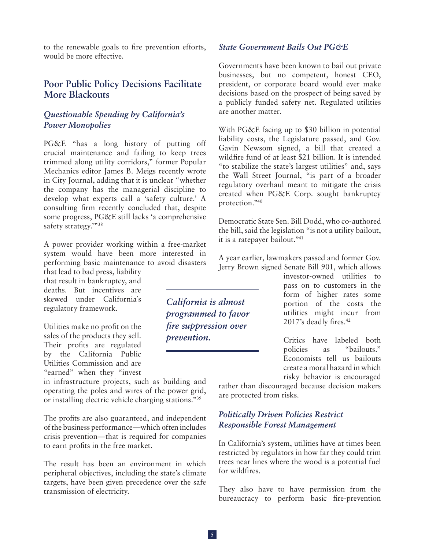to the renewable goals to fire prevention efforts, would be more effective.

## **Poor Public Policy Decisions Facilitate More Blackouts**

### *Questionable Spending by California's Power Monopolies*

PG&E "has a long history of putting off crucial maintenance and failing to keep trees trimmed along utility corridors," former Popular Mechanics editor James B. Meigs recently wrote in City Journal, adding that it is unclear "whether the company has the managerial discipline to develop what experts call a 'safety culture.' A consulting firm recently concluded that, despite some progress, PG&E still lacks 'a comprehensive safety strategy.""38

A power provider working within a free-market system would have been more interested in performing basic maintenance to avoid disasters that lead to bad press, liability

that result in bankruptcy, and deaths. But incentives are skewed under California's regulatory framework.

Utilities make no profit on the sales of the products they sell. Their profits are regulated by the California Public Utilities Commission and are "earned" when they "invest

in infrastructure projects, such as building and operating the poles and wires of the power grid, or installing electric vehicle charging stations."39

The profits are also guaranteed, and independent of the business performance—which often includes crisis prevention—that is required for companies to earn profits in the free market.

The result has been an environment in which peripheral objectives, including the state's climate targets, have been given precedence over the safe transmission of electricity.

*State Government Bails Out PG&E*

Governments have been known to bail out private businesses, but no competent, honest CEO, president, or corporate board would ever make decisions based on the prospect of being saved by a publicly funded safety net. Regulated utilities are another matter.

With PG&E facing up to \$30 billion in potential liability costs, the Legislature passed, and Gov. Gavin Newsom signed, a bill that created a wildfire fund of at least \$21 billion. It is intended "to stabilize the state's largest utilities" and, says the Wall Street Journal, "is part of a broader regulatory overhaul meant to mitigate the crisis created when PG&E Corp. sought bankruptcy protection."40

Democratic State Sen. Bill Dodd, who co-authored the bill, said the legislation "is not a utility bailout, it is a ratepayer bailout."41

A year earlier, lawmakers passed and former Gov. Jerry Brown signed Senate Bill 901, which allows

> investor-owned utilities to pass on to customers in the form of higher rates some portion of the costs the utilities might incur from 2017's deadly fires.<sup>42</sup>

> Critics have labeled both policies as "bailouts." Economists tell us bailouts create a moral hazard in which risky behavior is encouraged

rather than discouraged because decision makers are protected from risks.

#### *Politically Driven Policies Restrict Responsible Forest Management*

In California's system, utilities have at times been restricted by regulators in how far they could trim trees near lines where the wood is a potential fuel for wildfires.

They also have to have permission from the bureaucracy to perform basic fire-prevention

*California is almost programmed to favor fire suppression over prevention.*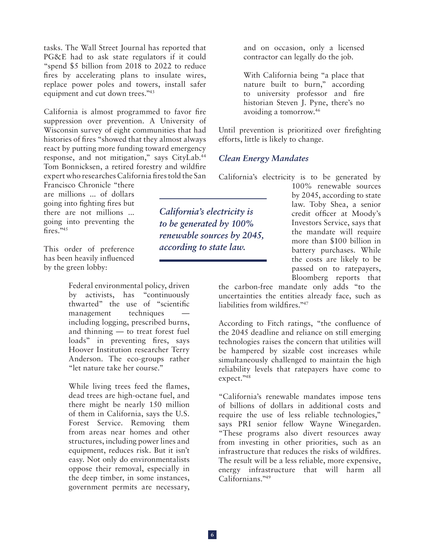tasks. The Wall Street Journal has reported that PG&E had to ask state regulators if it could "spend \$5 billion from 2018 to 2022 to reduce fires by accelerating plans to insulate wires, replace power poles and towers, install safer equipment and cut down trees."<sup>43</sup>

California is almost programmed to favor fire suppression over prevention. A University of Wisconsin survey of eight communities that had histories of fires "showed that they almost always react by putting more funding toward emergency response, and not mitigation," says CityLab.44 Tom Bonnicksen, a retired forestry and wildfire expert who researches California fires told the San

Francisco Chronicle "there are millions ... of dollars going into fighting fires but there are not millions ... going into preventing the fires." $45$ 

This order of preference has been heavily influenced by the green lobby:

> Federal environmental policy, driven by activists, has "continuously thwarted" the use of "scientific management techniques including logging, prescribed burns, and thinning — to treat forest fuel loads" in preventing fires, says Hoover Institution researcher Terry Anderson. The eco-groups rather "let nature take her course."

> While living trees feed the flames, dead trees are high-octane fuel, and there might be nearly 150 million of them in California, says the U.S. Forest Service. Removing them from areas near homes and other structures, including power lines and equipment, reduces risk. But it isn't easy. Not only do environmentalists oppose their removal, especially in the deep timber, in some instances, government permits are necessary,

and on occasion, only a licensed contractor can legally do the job.

With California being "a place that nature built to burn," according to university professor and fire historian Steven J. Pyne, there's no avoiding a tomorrow.46

Until prevention is prioritized over firefighting efforts, little is likely to change.

#### *Clean Energy Mandates*

California's electricity is to be generated by

*California's electricity is to be generated by 100% renewable sources by 2045, according to state law.* 

100% renewable sources by 2045, according to state law. Toby Shea, a senior credit officer at Moody's Investors Service, says that the mandate will require more than \$100 billion in battery purchases. While the costs are likely to be passed on to ratepayers, Bloomberg reports that

the carbon-free mandate only adds "to the uncertainties the entities already face, such as liabilities from wildfires."<sup>47</sup>

According to Fitch ratings, "the confluence of the 2045 deadline and reliance on still emerging technologies raises the concern that utilities will be hampered by sizable cost increases while simultaneously challenged to maintain the high reliability levels that ratepayers have come to expect."48

"California's renewable mandates impose tens of billions of dollars in additional costs and require the use of less reliable technologies," says PRI senior fellow Wayne Winegarden. "These programs also divert resources away from investing in other priorities, such as an infrastructure that reduces the risks of wildfires. The result will be a less reliable, more expensive, energy infrastructure that will harm all Californians."49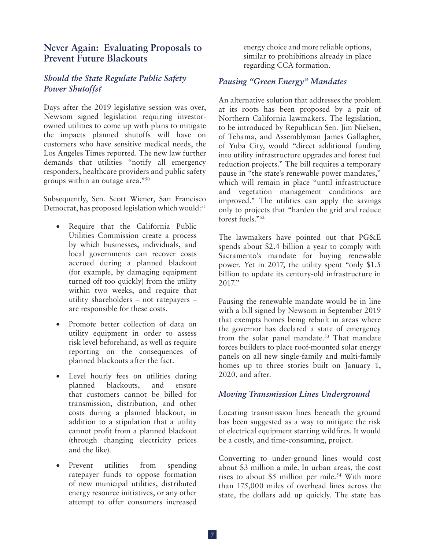## **Never Again: Evaluating Proposals to Prevent Future Blackouts**

## *Should the State Regulate Public Safety Power Shutoffs?*

Days after the 2019 legislative session was over, Newsom signed legislation requiring investorowned utilities to come up with plans to mitigate the impacts planned shutoffs will have on customers who have sensitive medical needs, the Los Angeles Times reported. The new law further demands that utilities "notify all emergency responders, healthcare providers and public safety groups within an outage area."50

Subsequently, Sen. Scott Wiener, San Francisco Democrat, has proposed legislation which would:<sup>51</sup>

- Require that the California Public Utilities Commission create a process by which businesses, individuals, and local governments can recover costs accrued during a planned blackout (for example, by damaging equipment turned off too quickly) from the utility within two weeks, and require that utility shareholders – not ratepayers – are responsible for these costs.
- Promote better collection of data on utility equipment in order to assess risk level beforehand, as well as require reporting on the consequences of planned blackouts after the fact.
- • Level hourly fees on utilities during planned blackouts, and ensure that customers cannot be billed for transmission, distribution, and other costs during a planned blackout, in addition to a stipulation that a utility cannot profit from a planned blackout (through changing electricity prices and the like).
- Prevent utilities from spending ratepayer funds to oppose formation of new municipal utilities, distributed energy resource initiatives, or any other attempt to offer consumers increased

energy choice and more reliable options, similar to prohibitions already in place regarding CCA formation.

### *Pausing "Green Energy" Mandates*

An alternative solution that addresses the problem at its roots has been proposed by a pair of Northern California lawmakers. The legislation, to be introduced by Republican Sen. Jim Nielsen, of Tehama, and Assemblyman James Gallagher, of Yuba City, would "direct additional funding into utility infrastructure upgrades and forest fuel reduction projects." The bill requires a temporary pause in "the state's renewable power mandates," which will remain in place "until infrastructure and vegetation management conditions are improved." The utilities can apply the savings only to projects that "harden the grid and reduce forest fuels."52

The lawmakers have pointed out that PG&E spends about \$2.4 billion a year to comply with Sacramento's mandate for buying renewable power. Yet in 2017, the utility spent "only \$1.5 billion to update its century-old infrastructure in 2017."

Pausing the renewable mandate would be in line with a bill signed by Newsom in September 2019 that exempts homes being rebuilt in areas where the governor has declared a state of emergency from the solar panel mandate.<sup>53</sup> That mandate forces builders to place roof-mounted solar energy panels on all new single-family and multi-family homes up to three stories built on January 1, 2020, and after.

#### *Moving Transmission Lines Underground*

Locating transmission lines beneath the ground has been suggested as a way to mitigate the risk of electrical equipment starting wildfires. It would be a costly, and time-consuming, project.

Converting to under-ground lines would cost about \$3 million a mile. In urban areas, the cost rises to about \$5 million per mile.<sup>54</sup> With more than 175,000 miles of overhead lines across the state, the dollars add up quickly. The state has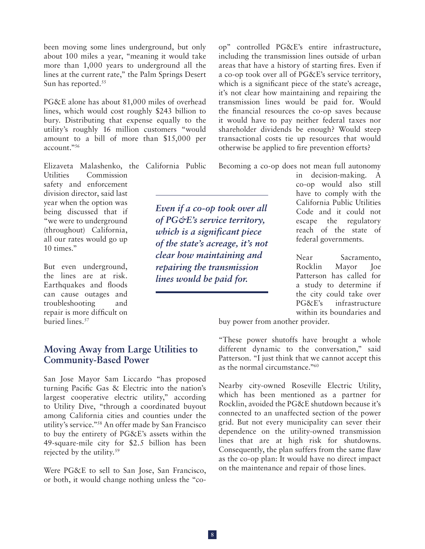been moving some lines underground, but only about 100 miles a year, "meaning it would take more than 1,000 years to underground all the lines at the current rate," the Palm Springs Desert Sun has reported.<sup>55</sup>

PG&E alone has about 81,000 miles of overhead lines, which would cost roughly \$243 billion to bury. Distributing that expense equally to the utility's roughly 16 million customers "would amount to a bill of more than \$15,000 per account."56

Elizaveta Malashenko, the California Public

Utilities Commission safety and enforcement division director, said last year when the option was being discussed that if "we were to underground (throughout) California, all our rates would go up 10 times."

But even underground, the lines are at risk. Earthquakes and floods can cause outages and troubleshooting and repair is more difficult on buried lines.<sup>57</sup>

*Even if a co-op took over all of PG&E's service territory, which is a significant piece of the state's acreage, it's not clear how maintaining and repairing the transmission lines would be paid for.* 

op" controlled PG&E's entire infrastructure, including the transmission lines outside of urban areas that have a history of starting fires. Even if a co-op took over all of PG&E's service territory, which is a significant piece of the state's acreage, it's not clear how maintaining and repairing the transmission lines would be paid for. Would the financial resources the co-op saves because it would have to pay neither federal taxes nor shareholder dividends be enough? Would steep transactional costs tie up resources that would otherwise be applied to fire prevention efforts?

Becoming a co-op does not mean full autonomy

in decision-making. A co-op would also still have to comply with the California Public Utilities Code and it could not escape the regulatory reach of the state of federal governments.

Near Sacramento, Rocklin Mayor Joe Patterson has called for a study to determine if the city could take over PG&E's infrastructure within its boundaries and

buy power from another provider.

## **Moving Away from Large Utilities to Community-Based Power**

San Jose Mayor Sam Liccardo "has proposed turning Pacific Gas & Electric into the nation's largest cooperative electric utility," according to Utility Dive, "through a coordinated buyout among California cities and counties under the utility's service."58 An offer made by San Francisco to buy the entirety of PG&E's assets within the 49-square-mile city for \$2.5 billion has been rejected by the utility.<sup>59</sup>

Were PG&E to sell to San Jose, San Francisco, or both, it would change nothing unless the "co"These power shutoffs have brought a whole different dynamic to the conversation," said Patterson. "I just think that we cannot accept this as the normal circumstance."60

Nearby city-owned Roseville Electric Utility, which has been mentioned as a partner for Rocklin, avoided the PG&E shutdown because it's connected to an unaffected section of the power grid. But not every municipality can sever their dependence on the utility-owned transmission lines that are at high risk for shutdowns. Consequently, the plan suffers from the same flaw as the co-op plan: It would have no direct impact on the maintenance and repair of those lines.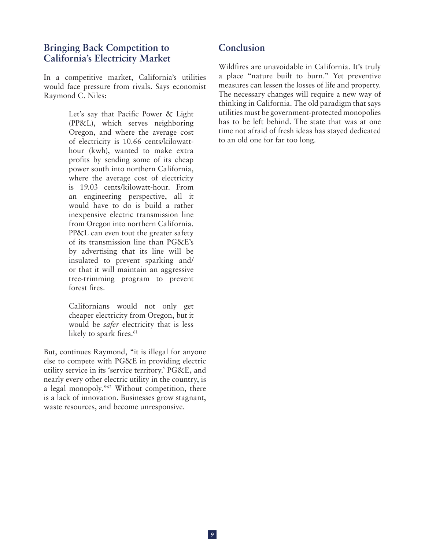## **Bringing Back Competition to California's Electricity Market**

In a competitive market, California's utilities would face pressure from rivals. Says economist Raymond C. Niles:

> Let's say that Pacific Power & Light (PP&L), which serves neighboring Oregon, and where the average cost of electricity is 10.66 cents/kilowatthour (kwh), wanted to make extra profits by sending some of its cheap power south into northern California, where the average cost of electricity is 19.03 cents/kilowatt-hour. From an engineering perspective, all it would have to do is build a rather inexpensive electric transmission line from Oregon into northern California. PP&L can even tout the greater safety of its transmission line than PG&E's by advertising that its line will be insulated to prevent sparking and/ or that it will maintain an aggressive tree-trimming program to prevent forest fires.

Californians would not only get cheaper electricity from Oregon, but it would be *safer* electricity that is less likely to spark fires.<sup>61</sup>

But, continues Raymond, "it is illegal for anyone else to compete with PG&E in providing electric utility service in its 'service territory.' PG&E, and nearly every other electric utility in the country, is a legal monopoly."62 Without competition, there is a lack of innovation. Businesses grow stagnant, waste resources, and become unresponsive.

## **Conclusion**

Wildfires are unavoidable in California. It's truly a place "nature built to burn." Yet preventive measures can lessen the losses of life and property. The necessary changes will require a new way of thinking in California. The old paradigm that says utilities must be government-protected monopolies has to be left behind. The state that was at one time not afraid of fresh ideas has stayed dedicated to an old one for far too long.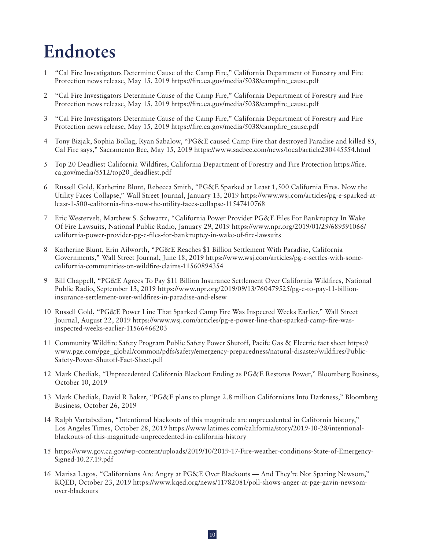## **Endnotes**

- 1 "Cal Fire Investigators Determine Cause of the Camp Fire," California Department of Forestry and Fire Protection news release, May 15, 2019 [https://fire.ca.gov/media/5038/campfire\\_cause.pdf](https://fire.ca.gov/media/5038/campfire_cause.pdf)
- 2 "Cal Fire Investigators Determine Cause of the Camp Fire," California Department of Forestry and Fire Protection news release, May 15, 2019 [https://fire.ca.gov/media/5038/campfire\\_cause.pdf](https://fire.ca.gov/media/5038/campfire_cause.pdf)
- 3 "Cal Fire Investigators Determine Cause of the Camp Fire," California Department of Forestry and Fire Protection news release, May 15, 2019 [https://fire.ca.gov/media/5038/campfire\\_cause.pdf](https://fire.ca.gov/media/5038/campfire_cause.pdf)
- 4 Tony Bizjak, Sophia Bollag, Ryan Sabalow, "PG&E caused Camp Fire that destroyed Paradise and killed 85, Cal Fire says," Sacramento Bee, May 15, 2019 <https://www.sacbee.com/news/local/article230445554.html>
- 5 Top 20 Deadliest California Wildfires, California Department of Forestry and Fire Protection [https://fire.](https://fire.ca.gov/media/5512/top20_deadliest.pdf) [ca.gov/media/5512/top20\\_deadliest.pdf](https://fire.ca.gov/media/5512/top20_deadliest.pdf)
- 6 Russell Gold, Katherine Blunt, Rebecca Smith, "PG&E Sparked at Least 1,500 California Fires. Now the Utility Faces Collapse," Wall Street Journal, January 13, 2019 [https://www.wsj.com/articles/pg-e-sparked-at](https://www.wsj.com/articles/pg-e-sparked-at-least-1-500-california-fires-now-the-utility-faces-collapse-11547410768)[least-1-500-california-fires-now-the-utility-faces-collapse-11547410768](https://www.wsj.com/articles/pg-e-sparked-at-least-1-500-california-fires-now-the-utility-faces-collapse-11547410768)
- 7 Eric Westervelt, Matthew S. Schwartz, "California Power Provider PG&E Files For Bankruptcy In Wake Of Fire Lawsuits, National Public Radio, January 29, 2019 [https://www.npr.org/2019/01/29/689591066/](https://www.npr.org/2019/01/29/689591066/california-power-provider-pg-e-files-for-bankruptcy-in-wake-of-fire-lawsuits) [california-power-provider-pg-e-files-for-bankruptcy-in-wake-of-fire-lawsuits](https://www.npr.org/2019/01/29/689591066/california-power-provider-pg-e-files-for-bankruptcy-in-wake-of-fire-lawsuits)
- 8 Katherine Blunt, Erin Ailworth, "PG&E Reaches \$1 Billion Settlement With Paradise, California Governments," Wall Street Journal, June 18, 2019 [https://www.wsj.com/articles/pg-e-settles-with-some](https://www.wsj.com/articles/pg-e-settles-with-some-california-communities-on-wildfire-claims-11560894354)[california-communities-on-wildfire-claims-11560894354](https://www.wsj.com/articles/pg-e-settles-with-some-california-communities-on-wildfire-claims-11560894354)
- 9 Bill Chappell, "PG&E Agrees To Pay \$11 Billion Insurance Settlement Over California Wildfires, National Public Radio, September 13, 2019 [https://www.npr.org/2019/09/13/760479525/pg-e-to-pay-11-billion](https://www.npr.org/2019/09/13/760479525/pg-e-to-pay-11-billion-insurance-settlement-over-wildfires-in-paradise-and-elsew)[insurance-settlement-over-wildfires-in-paradise-and-elsew](https://www.npr.org/2019/09/13/760479525/pg-e-to-pay-11-billion-insurance-settlement-over-wildfires-in-paradise-and-elsew)
- 10 Russell Gold, "PG&E Power Line That Sparked Camp Fire Was Inspected Weeks Earlier," Wall Street Journal, August 22, 2019 [https://www.wsj.com/articles/pg-e-power-line-that-sparked-camp-fire-was](https://www.wsj.com/articles/pg-e-power-line-that-sparked-camp-fire-was-inspected-weeks-earlier-11566466203)[inspected-weeks-earlier-11566466203](https://www.wsj.com/articles/pg-e-power-line-that-sparked-camp-fire-was-inspected-weeks-earlier-11566466203)
- 11 Community Wildfire Safety Program Public Safety Power Shutoff, Pacifc Gas & Electric fact sheet [https://](https://www.pge.com/pge_global/common/pdfs/safety/emergency-preparedness/natural-disaster/wildfires/Public-Safety-Power-Shutoff-Fact-Sheet.pdf) [www.pge.com/pge\\_global/common/pdfs/safety/emergency-preparedness/natural-disaster/wildfires/Public-](https://www.pge.com/pge_global/common/pdfs/safety/emergency-preparedness/natural-disaster/wildfires/Public-Safety-Power-Shutoff-Fact-Sheet.pdf)[Safety-Power-Shutoff-Fact-Sheet.pdf](https://www.pge.com/pge_global/common/pdfs/safety/emergency-preparedness/natural-disaster/wildfires/Public-Safety-Power-Shutoff-Fact-Sheet.pdf)
- 12 Mark Chediak, "Unprecedented California Blackout Ending as PG&E Restores Power," Bloomberg Business, October 10, 2019
- 13 Mark Chediak, David R Baker, "PG&E plans to plunge 2.8 million Californians Into Darkness," Bloomberg Business, October 26, 2019
- 14 Ralph Vartabedian, "Intentional blackouts of this magnitude are unprecedented in California history," Los Angeles Times, October 28, 2019 [https://www.latimes.com/california/story/2019-10-28/intentional](https://www.latimes.com/california/story/2019-10-28/intentional-blackouts-of-this-magnitude-unprecedented-in-california-history)[blackouts-of-this-magnitude-unprecedented-in-california-history](https://www.latimes.com/california/story/2019-10-28/intentional-blackouts-of-this-magnitude-unprecedented-in-california-history)
- 15 [https://www.gov.ca.gov/wp-content/uploads/2019/10/2019-17-Fire-weather-conditions-State-of-Emergency-](https://www.gov.ca.gov/wp-content/uploads/2019/10/2019-17-Fire-weather-conditions-State-of-Emergency-Signed-10.27.19.pdf)[Signed-10.27.19.pdf](https://www.gov.ca.gov/wp-content/uploads/2019/10/2019-17-Fire-weather-conditions-State-of-Emergency-Signed-10.27.19.pdf)
- 16 Marisa Lagos, "Californians Are Angry at PG&E Over Blackouts And They're Not Sparing Newsom," KQED, October 23, 2019 [https://www.kqed.org/news/11782081/poll-shows-anger-at-pge-gavin-newsom](https://www.kqed.org/news/11782081/poll-shows-anger-at-pge-gavin-newsom-over-blackouts)[over-blackouts](https://www.kqed.org/news/11782081/poll-shows-anger-at-pge-gavin-newsom-over-blackouts)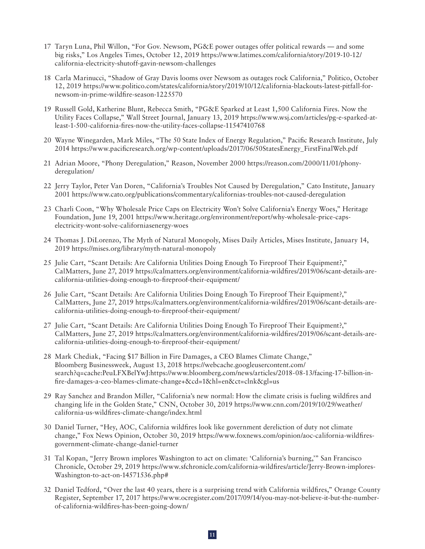- 17 Taryn Luna, Phil Willon, "For Gov. Newsom, PG&E power outages offer political rewards and some big risks," Los Angeles Times, October 12, 2019 [https://www.latimes.com/california/story/2019-10-12/](https://www.latimes.com/california/story/2019-10-12/california-electricity-shutoff-gavin-newsom-challenges) [california-electricity-shutoff-gavin-newsom-challenges](https://www.latimes.com/california/story/2019-10-12/california-electricity-shutoff-gavin-newsom-challenges)
- 18 Carla Marinucci, "Shadow of Gray Davis looms over Newsom as outages rock California," Politico, October 12, 2019 [https://www.politico.com/states/california/story/2019/10/12/california-blackouts-latest-pitfall-for](https://www.politico.com/states/california/story/2019/10/12/california-blackouts-latest-pitfall-for-newsom-in-prime-wildfire-season-1225570)[newsom-in-prime-wildfire-season-1225570](https://www.politico.com/states/california/story/2019/10/12/california-blackouts-latest-pitfall-for-newsom-in-prime-wildfire-season-1225570)
- 19 Russell Gold, Katherine Blunt, Rebecca Smith, "PG&E Sparked at Least 1,500 California Fires. Now the Utility Faces Collapse," Wall Street Journal, January 13, 2019 [https://www.wsj.com/articles/pg-e-sparked-at](https://www.wsj.com/articles/pg-e-sparked-at-least-1-500-california-fires-now-the-utility-faces-collapse-11547410768)[least-1-500-california-fires-now-the-utility-faces-collapse-11547410768](https://www.wsj.com/articles/pg-e-sparked-at-least-1-500-california-fires-now-the-utility-faces-collapse-11547410768)
- 20 Wayne Winegarden, Mark Miles, "The 50 State Index of Energy Regulation," Pacific Research Institute, July 2014 [https://www.pacificresearch.org/wp-content/uploads/2017/06/50StatesEnergy\\_FirstFinalWeb.pdf](https://www.pacificresearch.org/wp-content/uploads/2017/06/50StatesEnergy_FirstFinalWeb.pdf)
- 21 Adrian Moore, "Phony Deregulation," Reason, November 2000 [https://reason.com/2000/11/01/phony](https://reason.com/2000/11/01/phony-deregulation/)[deregulation/](https://reason.com/2000/11/01/phony-deregulation/)
- 22 Jerry Taylor, Peter Van Doren, "California's Troubles Not Caused by Deregulation," Cato Institute, January 2001 <https://www.cato.org/publications/commentary/californias-troubles-not-caused-deregulation>
- 23 Charli Coon, "Why Wholesale Price Caps on Electricity Won't Solve California's Energy Woes," Heritage Foundation, June 19, 2001 [https://www.heritage.org/environment/report/why-wholesale-price-caps](https://www.heritage.org/environment/report/why-wholesale-price-caps-electricity-wont-solve-californiasenergy-woes)[electricity-wont-solve-californiasenergy-woes](https://www.heritage.org/environment/report/why-wholesale-price-caps-electricity-wont-solve-californiasenergy-woes)
- 24 Thomas J. DiLorenzo, The Myth of Natural Monopoly, Mises Daily Articles, Mises Institute, January 14, 2019<https://mises.org/library/myth-natural-monopoly>
- 25 Julie Cart, "Scant Details: Are California Utilities Doing Enough To Fireproof Their Equipment?," CalMatters, June 27, 2019 [https://calmatters.org/environment/california-wildfires/2019/06/scant-details-are](https://calmatters.org/environment/california-wildfires/2019/06/scant-details-are-california-utilities-doing-enough-to-fireproof-their-equipment/)[california-utilities-doing-enough-to-fireproof-their-equipment/](https://calmatters.org/environment/california-wildfires/2019/06/scant-details-are-california-utilities-doing-enough-to-fireproof-their-equipment/)
- 26 Julie Cart, "Scant Details: Are California Utilities Doing Enough To Fireproof Their Equipment?," CalMatters, June 27, 2019 [https://calmatters.org/environment/california-wildfires/2019/06/scant-details-are](https://calmatters.org/environment/california-wildfires/2019/06/scant-details-are-california-utilities-doing-enough-to-fireproof-their-equipment/)[california-utilities-doing-enough-to-fireproof-their-equipment/](https://calmatters.org/environment/california-wildfires/2019/06/scant-details-are-california-utilities-doing-enough-to-fireproof-their-equipment/)
- 27 Julie Cart, "Scant Details: Are California Utilities Doing Enough To Fireproof Their Equipment?," CalMatters, June 27, 2019 [https://calmatters.org/environment/california-wildfires/2019/06/scant-details-are](https://calmatters.org/environment/california-wildfires/2019/06/scant-details-are-california-utilities-doing-enough-to-fireproof-their-equipment/)[california-utilities-doing-enough-to-fireproof-their-equipment/](https://calmatters.org/environment/california-wildfires/2019/06/scant-details-are-california-utilities-doing-enough-to-fireproof-their-equipment/)
- 28 Mark Chediak, "Facing \$17 Billion in Fire Damages, a CEO Blames Climate Change," Bloomberg Businessweek, August 13, 2018 [https://webcache.googleusercontent.com/](https://webcache.googleusercontent.com/search?q=cache:PeuLFXBelYwJ:https://www.bloomberg.com/news/articles/2018-08-13/facing-17-billion-in-fire-damages-a-ceo-blames-climate-change+&cd=1&hl=en&ct=clnk&gl=us) [search?q=cache:PeuLFXBelYwJ:https://www.bloomberg.com/news/articles/2018-08-13/facing-17-billion-in](https://webcache.googleusercontent.com/search?q=cache:PeuLFXBelYwJ:https://www.bloomberg.com/news/articles/2018-08-13/facing-17-billion-in-fire-damages-a-ceo-blames-climate-change+&cd=1&hl=en&ct=clnk&gl=us)[fire-damages-a-ceo-blames-climate-change+&cd=1&hl=en&ct=clnk&gl=us](https://webcache.googleusercontent.com/search?q=cache:PeuLFXBelYwJ:https://www.bloomberg.com/news/articles/2018-08-13/facing-17-billion-in-fire-damages-a-ceo-blames-climate-change+&cd=1&hl=en&ct=clnk&gl=us)
- 29 Ray Sanchez and Brandon Miller, "California's new normal: How the climate crisis is fueling wildfires and changing life in the Golden State," CNN, October 30, 2019 [https://www.cnn.com/2019/10/29/weather/](https://www.cnn.com/2019/10/29/weather/california-us-wildfires-climate-change/index.html) [california-us-wildfires-climate-change/index.html](https://www.cnn.com/2019/10/29/weather/california-us-wildfires-climate-change/index.html)
- 30 Daniel Turner, "Hey, AOC, California wildfires look like government dereliction of duty not climate change," Fox News Opinion, October 30, 2019 [https://www.foxnews.com/opinion/aoc-california-wildfires](https://www.foxnews.com/opinion/aoc-california-wildfires-government-climate-change-daniel-turner)[government-climate-change-daniel-turner](https://www.foxnews.com/opinion/aoc-california-wildfires-government-climate-change-daniel-turner)
- 31 Tal Kopan, "Jerry Brown implores Washington to act on climate: 'California's burning,'" San Francisco Chronicle, October 29, 2019 [https://www.sfchronicle.com/california-wildfires/article/Jerry-Brown-implores-](https://www.sfchronicle.com/california-wildfires/article/Jerry-Brown-implores-Washington-to-act-on-14571536.php)[Washington-to-act-on-14571536.php#](https://www.sfchronicle.com/california-wildfires/article/Jerry-Brown-implores-Washington-to-act-on-14571536.php)
- 32 Daniel Tedford, "Over the last 40 years, there is a surprising trend with California wildfires," Orange County Register, September 17, 2017 [https://www.ocregister.com/2017/09/14/you-may-not-believe-it-but-the-number](https://www.ocregister.com/2017/09/14/you-may-not-believe-it-but-the-number-of-california-wildfires-has-been-going-down/)[of-california-wildfires-has-been-going-down/](https://www.ocregister.com/2017/09/14/you-may-not-believe-it-but-the-number-of-california-wildfires-has-been-going-down/)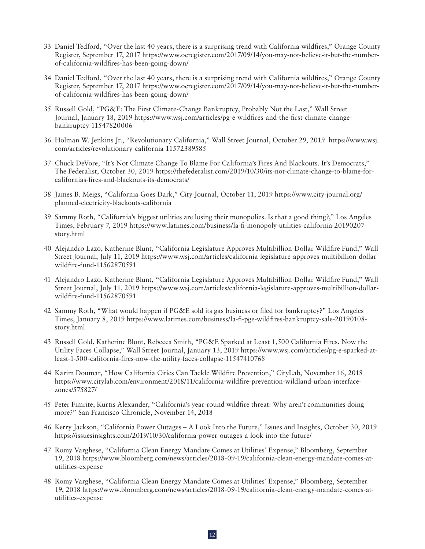- 33 Daniel Tedford, "Over the last 40 years, there is a surprising trend with California wildfires," Orange County Register, September 17, 2017 [https://www.ocregister.com/2017/09/14/you-may-not-believe-it-but-the-number](https://www.ocregister.com/2017/09/14/you-may-not-believe-it-but-the-number-of-california-wildfires-has-been-going-down/)[of-california-wildfires-has-been-going-down/](https://www.ocregister.com/2017/09/14/you-may-not-believe-it-but-the-number-of-california-wildfires-has-been-going-down/)
- 34 Daniel Tedford, "Over the last 40 years, there is a surprising trend with California wildfires," Orange County Register, September 17, 2017 [https://www.ocregister.com/2017/09/14/you-may-not-believe-it-but-the-number](https://www.ocregister.com/2017/09/14/you-may-not-believe-it-but-the-number-of-california-wildfires-has-been-going-down/)[of-california-wildfires-has-been-going-down/](https://www.ocregister.com/2017/09/14/you-may-not-believe-it-but-the-number-of-california-wildfires-has-been-going-down/)
- 35 Russell Gold, "PG&E: The First Climate-Change Bankruptcy, Probably Not the Last," Wall Street Journal, January 18, 2019 [https://www.wsj.com/articles/pg-e-wildfires-and-the-first-climate-change](https://www.wsj.com/articles/pg-e-wildfires-and-the-first-climate-change-bankruptcy-11547820006)[bankruptcy-11547820006](https://www.wsj.com/articles/pg-e-wildfires-and-the-first-climate-change-bankruptcy-11547820006)
- 36 Holman W. Jenkins Jr., "Revolutionary California," Wall Street Journal, October 29, 2019 [https://www.wsj.](https://www.wsj.com/articles/revolutionary-california-11572389585) [com/articles/revolutionary-california-11572389585](https://www.wsj.com/articles/revolutionary-california-11572389585)
- 37 Chuck DeVore, "It's Not Climate Change To Blame For California's Fires And Blackouts. It's Democrats," The Federalist, October 30, 2019 [https://thefederalist.com/2019/10/30/its-not-climate-change-to-blame-for](https://thefederalist.com/2019/10/30/its-not-climate-change-to-blame-for-californias-fires-and-blackouts-its-democrats/)[californias-fires-and-blackouts-its-democrats/](https://thefederalist.com/2019/10/30/its-not-climate-change-to-blame-for-californias-fires-and-blackouts-its-democrats/)
- 38 James B. Meigs, "California Goes Dark," City Journal, October 11, 2019 [https://www.city-journal.org/](https://www.city-journal.org/planned-electricity-blackouts-california) [planned-electricity-blackouts-california](https://www.city-journal.org/planned-electricity-blackouts-california)
- 39 Sammy Roth, "California's biggest utilities are losing their monopolies. Is that a good thing?," Los Angeles Times, February 7, 2019 [https://www.latimes.com/business/la-fi-monopoly-utilities-california-20190207](https://www.latimes.com/business/la-fi-monopoly-utilities-california-20190207-story.html) [story.html](https://www.latimes.com/business/la-fi-monopoly-utilities-california-20190207-story.html)
- 40 Alejandro Lazo, Katherine Blunt, "California Legislature Approves Multibillion-Dollar Wildfire Fund," Wall Street Journal, July 11, 2019 [https://www.wsj.com/articles/california-legislature-approves-multibillion-dollar](https://www.wsj.com/articles/california-legislature-approves-multibillion-dollar-wildfire-fund-11562870591)[wildfire-fund-11562870591](https://www.wsj.com/articles/california-legislature-approves-multibillion-dollar-wildfire-fund-11562870591)
- 41 Alejandro Lazo, Katherine Blunt, "California Legislature Approves Multibillion-Dollar Wildfire Fund," Wall Street Journal, July 11, 2019 [https://www.wsj.com/articles/california-legislature-approves-multibillion-dollar](https://www.wsj.com/articles/california-legislature-approves-multibillion-dollar-wildfire-fund-11562870591)[wildfire-fund-11562870591](https://www.wsj.com/articles/california-legislature-approves-multibillion-dollar-wildfire-fund-11562870591)
- 42 Sammy Roth, "What would happen if PG&E sold its gas business or filed for bankruptcy?" Los Angeles Times, January 8, 2019 [https://www.latimes.com/business/la-fi-pge-wildfires-bankruptcy-sale-20190108](https://www.latimes.com/business/la-fi-pge-wildfires-bankruptcy-sale-20190108-story.html) [story.html](https://www.latimes.com/business/la-fi-pge-wildfires-bankruptcy-sale-20190108-story.html)
- 43 Russell Gold, Katherine Blunt, Rebecca Smith, "PG&E Sparked at Least 1,500 California Fires. Now the Utility Faces Collapse," Wall Street Journal, January 13, 2019 [https://www.wsj.com/articles/pg-e-sparked-at](https://www.wsj.com/articles/pg-e-sparked-at-least-1-500-california-fires-now-the-utility-faces-collapse-11547410768)[least-1-500-california-fires-now-the-utility-faces-collapse-11547410768](https://www.wsj.com/articles/pg-e-sparked-at-least-1-500-california-fires-now-the-utility-faces-collapse-11547410768)
- 44 Karim Doumar, "How California Cities Can Tackle Wildfire Prevention," CityLab, November 16, 2018 [https://www.citylab.com/environment/2018/11/california-wildfire-prevention-wildland-urban-interface](https://www.citylab.com/environment/2018/11/california-wildfire-prevention-wildland-urban-interface-zones/575827/)[zones/575827/](https://www.citylab.com/environment/2018/11/california-wildfire-prevention-wildland-urban-interface-zones/575827/)
- 45 Peter Fimrite, Kurtis Alexander, "California's year-round wildfire threat: Why aren't communities doing more?" San Francisco Chronicle, November 14, 2018
- 46 Kerry Jackson, "California Power Outages A Look Into the Future," Issues and Insights, October 30, 2019 <https://issuesinsights.com/2019/10/30/california-power-outages-a-look-into-the-future/>
- 47 Romy Varghese, "California Clean Energy Mandate Comes at Utilities' Expense," Bloomberg, September 19, 2018 [https://www.bloomberg.com/news/articles/2018-09-19/california-clean-energy-mandate-comes-at](https://www.bloomberg.com/news/articles/2018-09-19/california-clean-energy-mandate-comes-at-utilities-expense)[utilities-expense](https://www.bloomberg.com/news/articles/2018-09-19/california-clean-energy-mandate-comes-at-utilities-expense)
- 48 Romy Varghese, "California Clean Energy Mandate Comes at Utilities' Expense," Bloomberg, September 19, 2018 [https://www.bloomberg.com/news/articles/2018-09-19/california-clean-energy-mandate-comes-at](https://www.bloomberg.com/news/articles/2018-09-19/california-clean-energy-mandate-comes-at-utilities-expense)[utilities-expense](https://www.bloomberg.com/news/articles/2018-09-19/california-clean-energy-mandate-comes-at-utilities-expense)